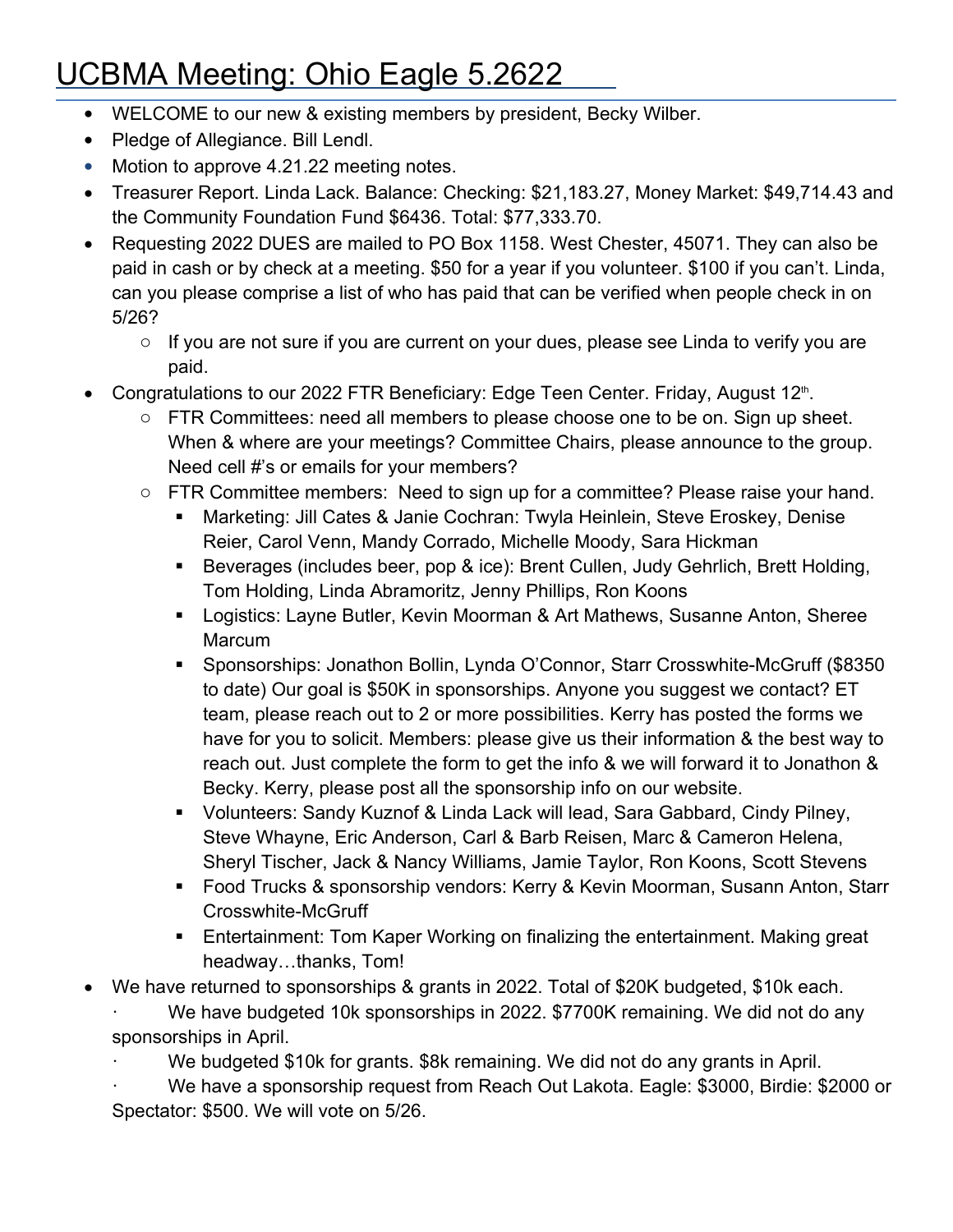## UCBMA Meeting: Ohio Eagle 5.2622

- WELCOME to our new & existing members by president, Becky Wilber.
- Pledge of Allegiance. Bill Lendl.
- Motion to approve 4.21.22 meeting notes.
- Treasurer Report. Linda Lack. Balance: Checking: \$21,183.27, Money Market: \$49,714.43 and the Community Foundation Fund \$6436. Total: \$77,333.70.
- Requesting 2022 DUES are mailed to PO Box 1158. West Chester, 45071. They can also be paid in cash or by check at a meeting. \$50 for a year if you volunteer. \$100 if you can't. Linda, can you please comprise a list of who has paid that can be verified when people check in on 5/26?
	- o If you are not sure if you are current on your dues, please see Linda to verify you are paid.
- Congratulations to our 2022 FTR Beneficiary: Edge Teen Center. Friday, August 12<sup>th</sup>.
	- $\circ$  FTR Committees: need all members to please choose one to be on. Sign up sheet. When & where are your meetings? Committee Chairs, please announce to the group. Need cell #'s or emails for your members?
	- o FTR Committee members: Need to sign up for a committee? Please raise your hand.
		- Marketing: Jill Cates & Janie Cochran: Twyla Heinlein, Steve Eroskey, Denise Reier, Carol Venn, Mandy Corrado, Michelle Moody, Sara Hickman
		- Beverages (includes beer, pop & ice): Brent Cullen, Judy Gehrlich, Brett Holding, Tom Holding, Linda Abramoritz, Jenny Phillips, Ron Koons
		- Logistics: Layne Butler, Kevin Moorman & Art Mathews, Susanne Anton, Sheree Marcum
		- Sponsorships: Jonathon Bollin, Lynda O'Connor, Starr Crosswhite-McGruff (\$8350 to date) Our goal is \$50K in sponsorships. Anyone you suggest we contact? ET team, please reach out to 2 or more possibilities. Kerry has posted the forms we have for you to solicit. Members: please give us their information & the best way to reach out. Just complete the form to get the info & we will forward it to Jonathon & Becky. Kerry, please post all the sponsorship info on our website.
		- Volunteers: Sandy Kuznof & Linda Lack will lead, Sara Gabbard, Cindy Pilney, Steve Whayne, Eric Anderson, Carl & Barb Reisen, Marc & Cameron Helena, Sheryl Tischer, Jack & Nancy Williams, Jamie Taylor, Ron Koons, Scott Stevens
		- Food Trucks & sponsorship vendors: Kerry & Kevin Moorman, Susann Anton, Starr Crosswhite-McGruff
		- Entertainment: Tom Kaper Working on finalizing the entertainment. Making great headway…thanks, Tom!
- We have returned to sponsorships & grants in 2022. Total of \$20K budgeted, \$10k each.<br>We have budgeted 10k sponsorships in 2022. \$7700K remaining. We did not do any

sponsorships in April.<br>We budgeted \$10k for grants. \$8k remaining. We did not do any grants in April.<br>We have a sponsorship request from Reach Out Lakota. Eagle: \$3000, Birdie: \$2000 or

Spectator: \$500. We will vote on 5/26.